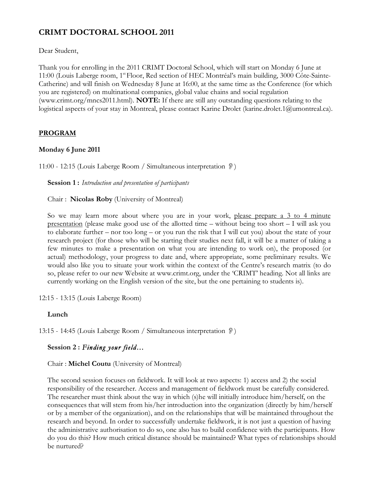# **CRIMT DOCTORAL SCHOOL 2011**

Dear Student,

Thank you for enrolling in the 2011 CRIMT Doctoral School, which will start on Monday 6 June at 11:00 (Louis Laberge room, 1st Floor, Red section of HEC Montréal's main building, 3000 Côte-Sainte-Catherine) and will finish on Wednesday 8 June at 16:00, at the same time as the Conference (for which you are registered) on multinational companies, global value chains and social regulation (www.crimt.org/mncs2011.html). **NOTE:** If there are still any outstanding questions relating to the logistical aspects of your stay in Montreal, please contact Karine Drolet (karine.drolet.1@umontreal.ca).

### **PROGRAM**

#### **Monday 6 June 2011**

11:00 - 12:15 (Louis Laberge Room / Simultaneous interpretation  $\mathcal{D}$ )

**Session 1 :** *Introduction and presentation of participants*

Chair : **Nicolas Roby** (University of Montreal)

So we may learn more about where you are in your work, please prepare a 3 to 4 minute presentation (please make good use of the allotted time – without being too short – I will ask you to elaborate further – nor too long – or you run the risk that I will cut you) about the state of your research project (for those who will be starting their studies next fall, it will be a matter of taking a few minutes to make a presentation on what you are intending to work on), the proposed (or actual) methodology, your progress to date and, where appropriate, some preliminary results. We would also like you to situate your work within the context of the Centre's research matrix (to do so, please refer to our new Website at www.crimt.org, under the 'CRIMT' heading. Not all links are currently working on the English version of the site, but the one pertaining to students is).

12:15 - 13:15 (Louis Laberge Room)

#### **Lunch**

13:15 - 14:45 (Louis Laberge Room / Simultaneous interpretation )

#### **Session 2 :** *Finding your field…*

Chair : **Michel Coutu** (University of Montreal)

The second session focuses on fieldwork. It will look at two aspects: 1) access and 2) the social responsibility of the researcher. Access and management of fieldwork must be carefully considered. The researcher must think about the way in which (s)he will initially introduce him/herself, on the consequences that will stem from his/her introduction into the organization (directly by him/herself or by a member of the organization), and on the relationships that will be maintained throughout the research and beyond. In order to successfully undertake fieldwork, it is not just a question of having the administrative authorisation to do so, one also has to build confidence with the participants. How do you do this? How much critical distance should be maintained? What types of relationships should be nurtured?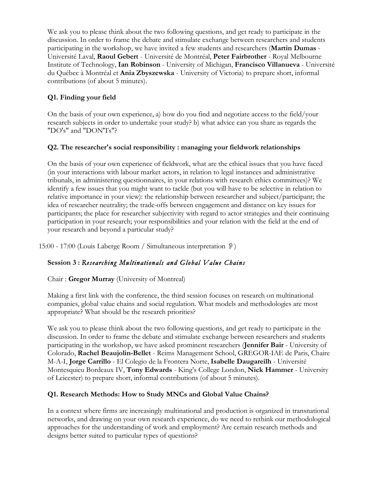We ask you to please think about the two following questions, and get ready to participate in the discussion. In order to frame the debate and stimulate exchange between researchers and students participating in the workshop, we have invited a few students and researchers (**Martin Dumas** - Université Laval, **Raoul Gebert** - Université de Montréal, **Peter Fairbrother** - Royal Melbourne Institute of Technology, **Ian Robinson** - University of Michigan, **Francisco Villanueva** - Université du Québec à Montréal et **Ania Zbyszewska** - University of Victoria) to prepare short, informal contributions (of about 5 minutes).

# **Q1. Finding your field**

On the basis of your own experience, a) how do you find and negotiate access to the field/your research subjects in order to undertake your study? b) what advice can you share as regards the "DO's" and "DON'Ts"?

## **Q2. The researcher's social responsibility : managing your fieldwork relationships**

On the basis of your own experience of fieldwork, what are the ethical issues that you have faced (in your interactions with labour market actors, in relation to legal instances and administrative tribunals, in administering questionnaires, in your relations with research ethics committees)? We identify a few issues that you might want to tackle (but you will have to be selective in relation to relative importance in your view): the relationship between researcher and subject/participant; the idea of researcher neutrality; the trade-offs between engagement and distance on key issues for participants; the place for researcher subjectivity with regard to actor strategies and their continuing participation in your research; your responsibilities and your relation with the field at the end of your research and beyond a particular study?

15:00 - 17:00 (Louis Laberge Room / Simultaneous interpretation )

# **Session 3 :** *Researching Multinationals and Global Value Chains*

Chair : **Gregor Murray** (University of Montreal)

Making a first link with the conference, the third session focuses on research on multinational companies, global value chains and social regulation. What models and methodologies are most appropriate? What should be the research priorities?

We ask you to please think about the two following questions, and get ready to participate in the discussion. In order to frame the debate and stimulate exchange between researchers and students participating in the workshop, we have asked prominent researchers (**Jennifer Bair** - University of Colorado, **Rachel Beaujolin-Bellet** - Reims Management School, GREGOR-IAE de Paris, Chaire M-A-I, **Jorge Carrillo** - El Colegio de la Frontera Norte, **Isabelle Daugareilh** - Université Montesquieu Bordeaux IV, **Tony Edwards** - King's College London, **Nick Hammer** - University of Leicester) to prepare short, informal contributions (of about 5 minutes).

# **Q1. Research Methods: How to Study MNCs and Global Value Chains?**

In a context where firms are increasingly multinational and production is organized in transnational networks, and drawing on your own research experience, do we need to rethink our methodological approaches for the understanding of work and employment? Are certain research methods and designs better suited to particular types of questions?